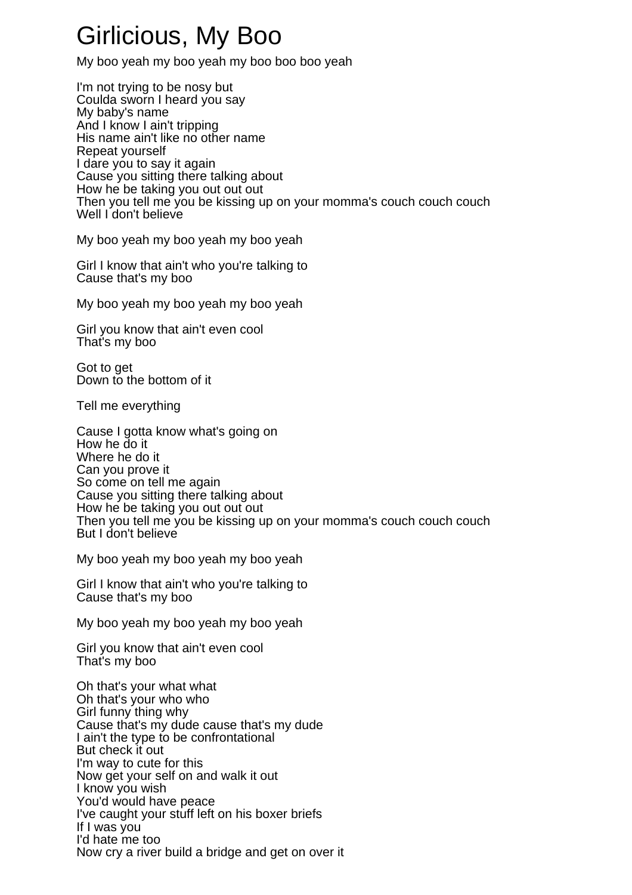## Girlicious, My Boo

My boo yeah my boo yeah my boo boo boo yeah

I'm not trying to be nosy but Coulda sworn I heard you say My baby's name And I know I ain't tripping His name ain't like no other name Repeat yourself I dare you to say it again Cause you sitting there talking about How he be taking you out out out Then you tell me you be kissing up on your momma's couch couch couch Well I don't believe

My boo yeah my boo yeah my boo yeah

Girl I know that ain't who you're talking to Cause that's my boo

My boo yeah my boo yeah my boo yeah

Girl you know that ain't even cool That's my boo

Got to get Down to the bottom of it

Tell me everything

Cause I gotta know what's going on How he do it Where he do it Can you prove it So come on tell me again Cause you sitting there talking about How he be taking you out out out Then you tell me you be kissing up on your momma's couch couch couch But I don't believe

My boo yeah my boo yeah my boo yeah

Girl I know that ain't who you're talking to Cause that's my boo

My boo yeah my boo yeah my boo yeah

Girl you know that ain't even cool That's my boo

Oh that's your what what Oh that's your who who Girl funny thing why Cause that's my dude cause that's my dude I ain't the type to be confrontational But check it out I'm way to cute for this Now get your self on and walk it out I know you wish You'd would have peace I've caught your stuff left on his boxer briefs If I was you I'd hate me too Now cry a river build a bridge and get on over it